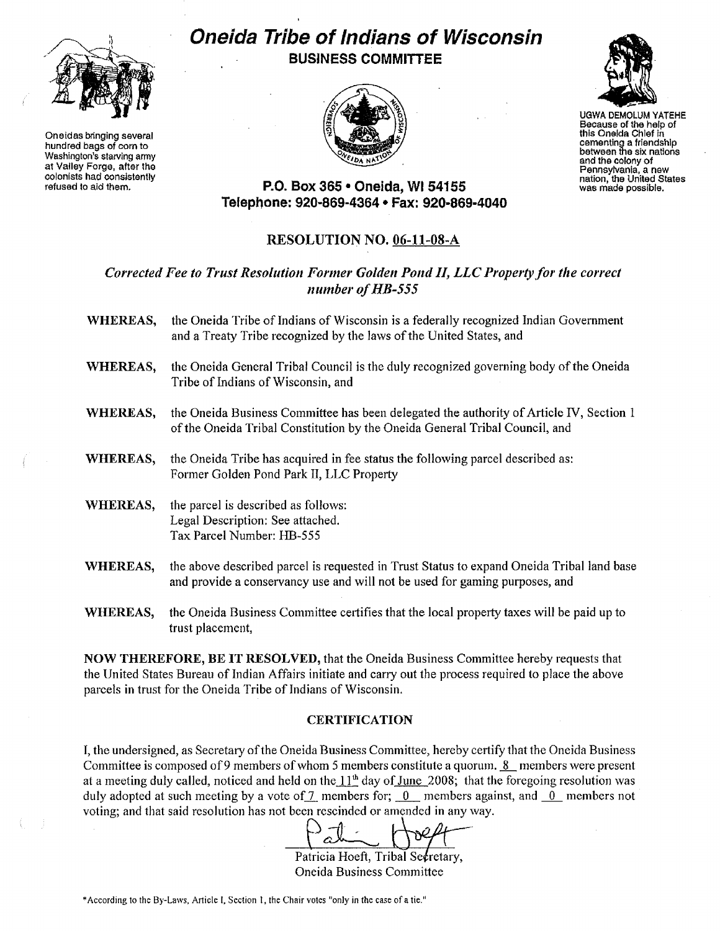

Oneidas bringing several hundred bags of corn to Washington's starving army at Valley Forga, after the colonists had consistently refused to aid them.

# **Oneida Tribe ofIndians of Wisconsin BUSINESS COMMITTEE**



UGWA DEMQLUM YATEHE Because of the help of this Oneida Chief in cementing a friandshlp between the six nations and the colony of<br>Pennsylvania, a new nation, the United States<br>was made possible.

**P.o. Box 365 • Oneida, WI 54155 Telephone: 920-869-4364 • Fax: 920-869-4040**

# RESOLUTION NO. 06-11-08-A

## *Corrected Fee to Trust Resolution Former Golden Pond II, LLCProperty for the correct number ofHB-555*

- WHEREAS, the Oneida Tribe of Indians of Wisconsin is a federally recognized Indian Government and a Treaty Tribe recognized by the laws of the United States, and
- WHEREAS, the Oneida General Tribal Council is the duly recognized governing body of the Oneida Tribe of Indians of Wisconsin, and
- WHEREAS, the Oneida Business Committee has been delegated the authority of Article *IV*, Section 1 ofthe Oneida Tribal Constitution by the Oneida General Tribal Council, and
- WHEREAS, the Oneida Tribe has acquired in fee status the following parcel described as: Fonner Golden Pond Park II, LLC Property
- WHEREAS, the parcel is described as follows: Legal Description: See attached. Tax Parcel Number: HB~555
- WHEREAS, the above described parcel is requested in Trust Status to expand Oneida Tribal land base and provide a conservancy use and will not be used for gaming purposes, and
- WHEREAS, the Oneida Business Committee certifies that the local property taxes will be paid up to trust placement,

NOW THEREFORE, BE IT RESOLVED, that the Oneida Business Committee hereby requests that the United States Bureau of Indian Affairs initiate and carry out the process required to place the above parcels in trust for the Oneida Tribe of Indians of Wisconsin.

### **CERTIFICATION**

I, the undersigned, as Secretary of the Oneida Business Committee, hereby certify that the Oneida Business Committee is composed of 9 members of whom 5 members constitute a quorum.  $8$  members were present at a meeting duly called, noticed and held on the  $11<sup>th</sup>$  day of June 2008; that the foregoing resolution was duly adopted at such meeting by a vote of  $\frac{7}{1}$  members for; 0\_ members against, and  $\frac{0}{0}$  members not voting; and that said resolution has not been rescinded or amended in any way.

Patricia Hoeft, Tribal Secretary, Oneida Business Committee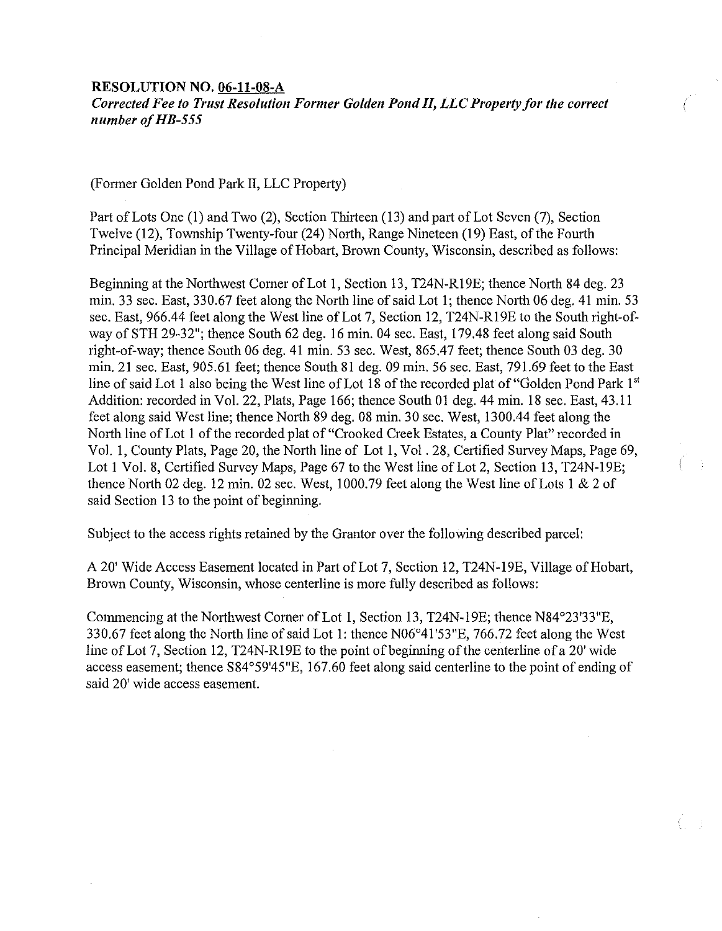#### RESOLUTION NO. 06-11-08-A

*Corrected Fee to Trust Resolution Former Golden POlld II, LLCProperty for the correct lIumber ofHB-555*

(Fonner Golden Pond Park II, LLC Property)

Part of Lots One (1) and Two (2), Section Thirteen (13) and part of Lot Seven (7), Section Twelve (12), Township Twenty-four (24) North, Range Nineteen (19) East, of the Fourth Principal Meridian in the Village of Hobart, Brown County, Wisconsin, described as follows:

Beginning at the Northwest Corner of Lot 1, Section 13, T24N-R19E; thence North 84 deg. 23 min. 33 sec. East, 330.67 feet along the North line of said Lot 1; thence North 06 deg. 41 min. 53 sec. East, 966.44 feet along the West line of Lot 7, Section 12, T24N-RI9E to the South right-ofway of STH 29-32"; thence South 62 deg. 16 min. 04 sec. East, 179.48 feet along said South right-of-way; thence South 06 deg. 41 min. 53 sec. West, 865.47 feet; thence South 03 deg. 30 min. 21 sec. East, 905.61 feet; thence South 81 deg. 09 min. 56 sec. East, 791.69 feet to the East line of said Lot 1 also being the West line of Lot 18 of the recorded plat of "Golden Pond Park 1st" Addition: recorded in Vol. 22, Plats, Page 166; thence South 01 deg. 44 min. 18 sec. East, 43.11 feet along said West line; thence North 89 deg. 08 min. 30 sec. West, 1300.44 feet along the North line of Lot 1 of the recorded plat of "Crooked Creek Estates, a County Plat" recorded in Vol. I, County Plats, Page 20, the North line of Lot 1, Vol. 28, Certified Survey Maps, Page 69, Lot 1 Vol. 8, Certified Survey Maps, Page 67 to the West line of Lot 2, Section 13, T24N-19E; thence North 02 deg. 12 min. 02 sec. West, 1000.79 feet along the West line of Lots 1  $& 2$  of said Section 13 to the point of beginning.

Subject to the access rights retained by the Grantor over the following described parcel:

A 20' Wide Access Easement located in Part of Lot 7, Section 12, T24N-I9E, Village of Hobart, Brown County, Wisconsin, whose centerline is more fully described as follows:

Commencing at the Northwest Corner of Lot 1, Section 13, T24N-19E; thence N84°23'33"E, 330.67 feet along the North line of said Lot 1: thence N06°41'53"E, 766.72 feet along the West line of Lot 7, Section 12, T24N-R19E to the point of beginning of the centerline of a 20' wide access easement; thence S84°59'45"E, 167.60 feet along said centerline to the point of ending of said 20' wide access easement.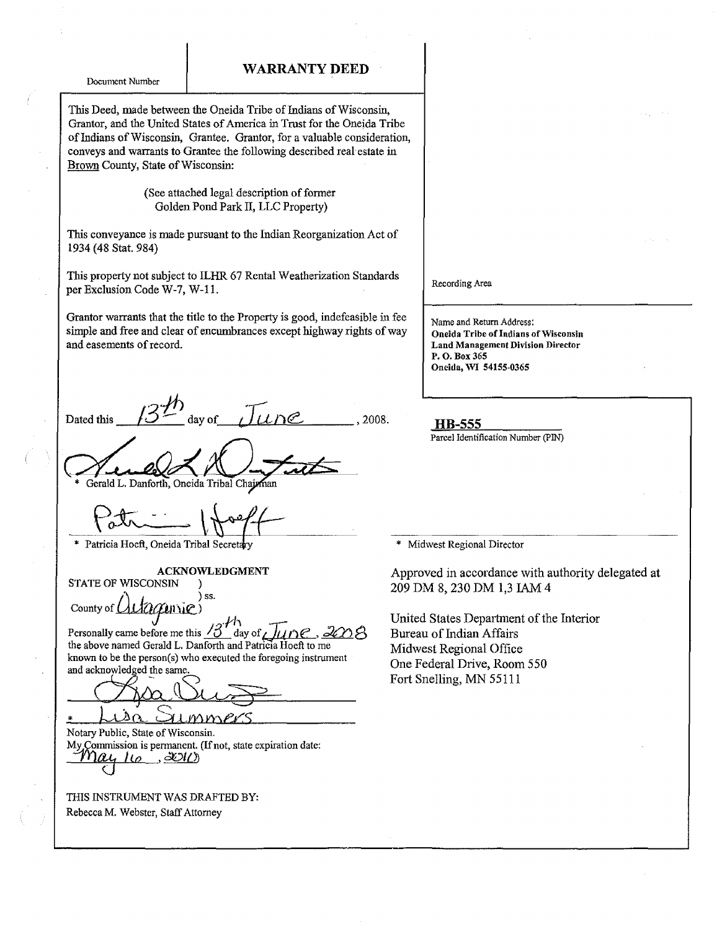WARRANTY DEED

Document Number

This Deed, made between the Oneida Tribe of Indians of Wisconsin, Grantor, and the United States of America in Trust for the Oneida Tribe of Indians of Wisconsin, Grantee. Grantor, for a valuable consideration, conveys and warrants to Grantee the following described real-estate in Brown County, State of Wisconsin:

#### (See attached legal description of former Golden Pond Park II, LLC Property)

This conveyance is made pursuant to the Indian Reorganization Act of 1934 (48 Stat. 984)

This property not subject to ILHR 67 Rental Weatherization Standards per Exclusion Code W-7, W-11.

Grantor warrants that the title to the Property is good, indefeasible in fee simple and free and clear of encumbrances except highway rights of way and easements of record.

Dated this  $13^{1/h}$  day of  $\overline{J}$   $\overline{L}$  , 2008. **HB-555** 

Gerald L. Danforth, Oneida Tribal Chaja

\* Patricia Hoeft, Oneida Tribal Secretary

ACKNOWLEDGMENT

STATE OF WISCONSIN )  $\bigwedge$   $\bigcup$   $\bigcup$   $\bigcup$   $\bigcup$  ss.

 $_{\rm{Country~of}}$   $\Omega_{\rm{U}}$   $_{\rm{G}}$  and  $_{\rm{G}}$   $_{\rm{H}}$   $_{\rm{H}}$ 

Personally came before me this  $\sqrt{2}$  day of  $\sqrt{2}$ the above named Gerald L. Danforth and Patricia Hoeft to me known to be the person(s) who executed the foregoing instrument and acknowledged the same

Opia Buzz

Notary Public, State of Wisconsin. My Commission is permanent. (If not, state expiration date:  $l\omega$  . 20 $l$ 

THIS INSTRUMENT WAS DRAFTED BY: Rebecca M. Webster, Staff Attorney

Recording Area

Name and Return Address: Oneida Tribe of Indians of Wisconsin Land Management Division Director P.O.Box365 Oneida, WI 54155-0365

Parcel Identification Number (PIN)

Midwest Regional Director

Approved in accordance with authority delegated at 209 DM 8,230 DM 1,3 JAM 4

United States Department of the Interior Bureau of Indian Affairs Midwest Regional Office One Federal Drive, Room 550 Fort Snelling, MN 55111